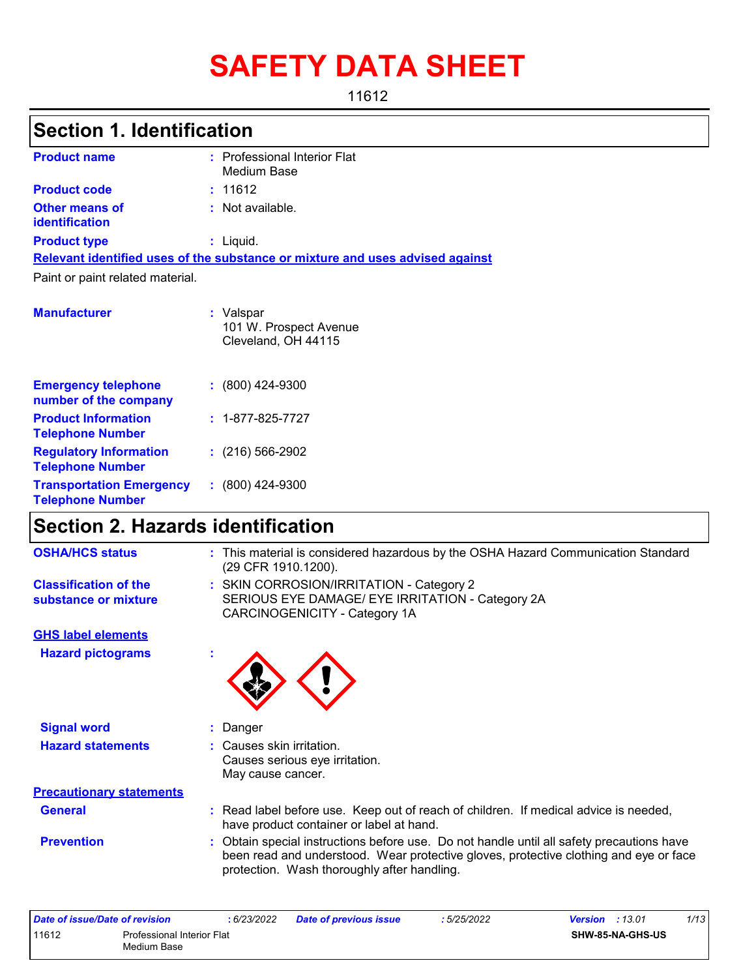# **SAFETY DATA SHEET**

11612

## **Section 1. Identification**

| <b>Product name</b>                     | : Professional Interior Flat<br>Medium Base                                   |
|-----------------------------------------|-------------------------------------------------------------------------------|
| <b>Product code</b>                     | : 11612                                                                       |
| <b>Other means of</b><br>identification | : Not available.                                                              |
| <b>Product type</b>                     | : Liquid.                                                                     |
|                                         | Relevant identified uses of the substance or mixture and uses advised against |
| Paint or paint related material.        |                                                                               |
| <b>Manufacturer</b>                     | : Valspar<br>101 W. Prospect Avenue<br>Cleveland, OH 44115                    |

| <b>Emergency telephone</b><br>number of the company        | $: (800)$ 424-9300       |
|------------------------------------------------------------|--------------------------|
| <b>Product Information</b><br><b>Telephone Number</b>      | $: 1 - 877 - 825 - 7727$ |
| <b>Regulatory Information</b><br><b>Telephone Number</b>   | $: (216) 566 - 2902$     |
| <b>Transportation Emergency</b><br><b>Telephone Number</b> | $: (800)$ 424-9300       |

## **Section 2. Hazards identification**

| <b>OSHA/HCS status</b>                               | : This material is considered hazardous by the OSHA Hazard Communication Standard<br>(29 CFR 1910.1200).                                                                                                                          |
|------------------------------------------------------|-----------------------------------------------------------------------------------------------------------------------------------------------------------------------------------------------------------------------------------|
| <b>Classification of the</b><br>substance or mixture | : SKIN CORROSION/IRRITATION - Category 2<br>SERIOUS EYE DAMAGE/ EYE IRRITATION - Category 2A<br>CARCINOGENICITY - Category 1A                                                                                                     |
| <b>GHS label elements</b>                            |                                                                                                                                                                                                                                   |
| <b>Hazard pictograms</b>                             | ÷                                                                                                                                                                                                                                 |
| <b>Signal word</b>                                   | : Danger                                                                                                                                                                                                                          |
| <b>Hazard statements</b>                             | : Causes skin irritation.<br>Causes serious eye irritation.<br>May cause cancer.                                                                                                                                                  |
| <b>Precautionary statements</b>                      |                                                                                                                                                                                                                                   |
| <b>General</b>                                       | : Read label before use. Keep out of reach of children. If medical advice is needed,<br>have product container or label at hand.                                                                                                  |
| <b>Prevention</b>                                    | : Obtain special instructions before use. Do not handle until all safety precautions have<br>been read and understood. Wear protective gloves, protective clothing and eye or face<br>protection. Wash thoroughly after handling. |

| Date of issue/Date of revision |                                           | 6/23/2022 | <b>Date of previous issue</b> | :5/25/2022 | <b>Version</b> : 13.01 |                         | 1/13 |
|--------------------------------|-------------------------------------------|-----------|-------------------------------|------------|------------------------|-------------------------|------|
| 11612                          | Professional Interior Flat<br>Medium Base |           |                               |            |                        | <b>SHW-85-NA-GHS-US</b> |      |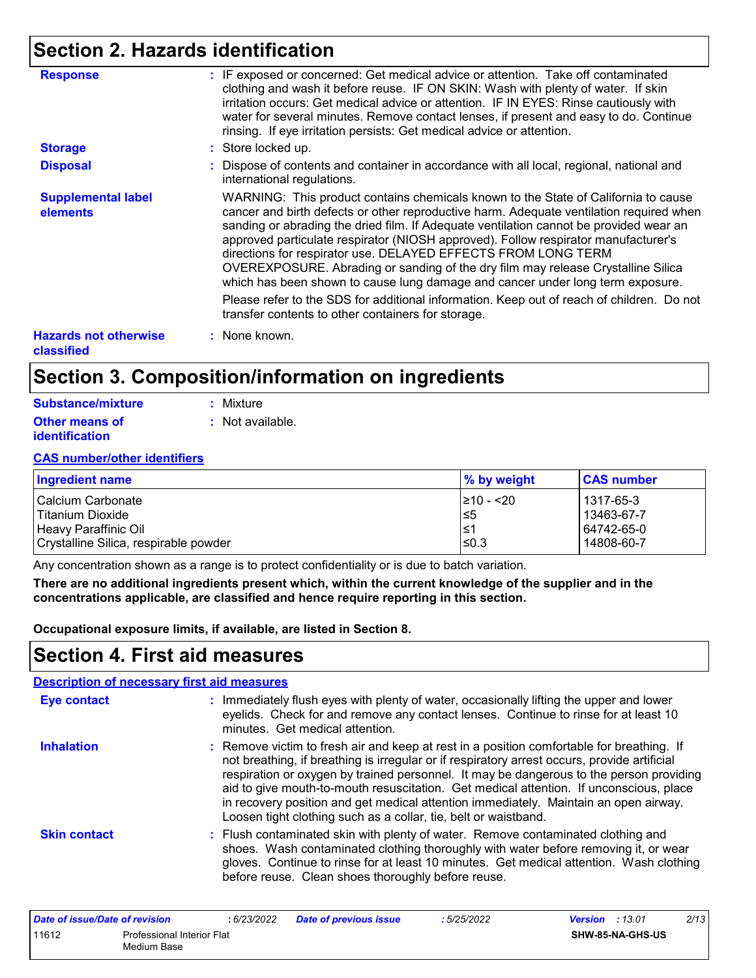### **Section 2. Hazards identification**

| <b>Response</b>                            | : IF exposed or concerned: Get medical advice or attention. Take off contaminated<br>clothing and wash it before reuse. IF ON SKIN: Wash with plenty of water. If skin<br>irritation occurs: Get medical advice or attention. IF IN EYES: Rinse cautiously with<br>water for several minutes. Remove contact lenses, if present and easy to do. Continue<br>rinsing. If eye irritation persists: Get medical advice or attention.                                                                                                                                                                                                                                                                 |
|--------------------------------------------|---------------------------------------------------------------------------------------------------------------------------------------------------------------------------------------------------------------------------------------------------------------------------------------------------------------------------------------------------------------------------------------------------------------------------------------------------------------------------------------------------------------------------------------------------------------------------------------------------------------------------------------------------------------------------------------------------|
| <b>Storage</b>                             | : Store locked up.                                                                                                                                                                                                                                                                                                                                                                                                                                                                                                                                                                                                                                                                                |
| <b>Disposal</b>                            | : Dispose of contents and container in accordance with all local, regional, national and<br>international regulations.                                                                                                                                                                                                                                                                                                                                                                                                                                                                                                                                                                            |
| <b>Supplemental label</b><br>elements      | WARNING: This product contains chemicals known to the State of California to cause<br>cancer and birth defects or other reproductive harm. Adequate ventilation required when<br>sanding or abrading the dried film. If Adequate ventilation cannot be provided wear an<br>approved particulate respirator (NIOSH approved). Follow respirator manufacturer's<br>directions for respirator use. DELAYED EFFECTS FROM LONG TERM<br>OVEREXPOSURE. Abrading or sanding of the dry film may release Crystalline Silica<br>which has been shown to cause lung damage and cancer under long term exposure.<br>Please refer to the SDS for additional information. Keep out of reach of children. Do not |
|                                            | transfer contents to other containers for storage.                                                                                                                                                                                                                                                                                                                                                                                                                                                                                                                                                                                                                                                |
| <b>Hazards not otherwise</b><br>classified | : None known.                                                                                                                                                                                                                                                                                                                                                                                                                                                                                                                                                                                                                                                                                     |

### **Section 3. Composition/information on ingredients**

| Substance/mixture     | : Mixture        |
|-----------------------|------------------|
| <b>Other means of</b> | : Not available. |
| <b>identification</b> |                  |

#### **CAS number/other identifiers**

| Ingredient name                       | % by weight    | <b>CAS number</b> |
|---------------------------------------|----------------|-------------------|
| l Calcium Carbonate                   | $\geq 10 - 20$ | 1317-65-3         |
| l Titanium Dioxide                    | l≤5            | 13463-67-7        |
| Heavy Paraffinic Oil                  | l≤1            | 64742-65-0        |
| Crystalline Silica, respirable powder | l≤0.3          | 14808-60-7        |

Any concentration shown as a range is to protect confidentiality or is due to batch variation.

**There are no additional ingredients present which, within the current knowledge of the supplier and in the concentrations applicable, are classified and hence require reporting in this section.**

**Occupational exposure limits, if available, are listed in Section 8.**

### **Section 4. First aid measures**

#### **:** Immediately flush eyes with plenty of water, occasionally lifting the upper and lower eyelids. Check for and remove any contact lenses. Continue to rinse for at least 10 minutes. Get medical attention. Flush contaminated skin with plenty of water. Remove contaminated clothing and **:** shoes. Wash contaminated clothing thoroughly with water before removing it, or wear gloves. Continue to rinse for at least 10 minutes. Get medical attention. Wash clothing before reuse. Clean shoes thoroughly before reuse. Remove victim to fresh air and keep at rest in a position comfortable for breathing. If **:** not breathing, if breathing is irregular or if respiratory arrest occurs, provide artificial respiration or oxygen by trained personnel. It may be dangerous to the person providing aid to give mouth-to-mouth resuscitation. Get medical attention. If unconscious, place in recovery position and get medical attention immediately. Maintain an open airway. Loosen tight clothing such as a collar, tie, belt or waistband. **Eye contact Skin contact Inhalation Description of necessary first aid measures**

| Date of issue/Date of revision                     |  | : 6/23/2022 | <b>Date of previous issue</b> | : 5/25/2022 | <b>Version</b> : 13.01 |                  | 2/13 |
|----------------------------------------------------|--|-------------|-------------------------------|-------------|------------------------|------------------|------|
| 11612<br>Professional Interior Flat<br>Medium Base |  |             |                               |             |                        | SHW-85-NA-GHS-US |      |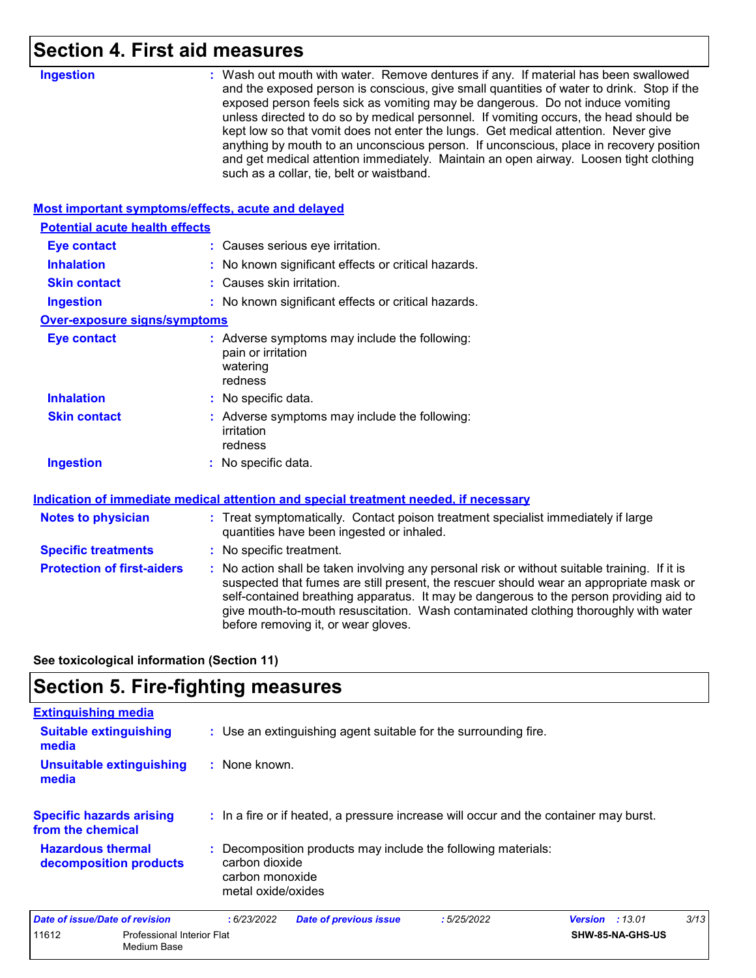### **Section 4. First aid measures**

| <b>Ingestion</b>                                   | : Wash out mouth with water. Remove dentures if any. If material has been swallowed<br>and the exposed person is conscious, give small quantities of water to drink. Stop if the<br>exposed person feels sick as vomiting may be dangerous. Do not induce vomiting<br>unless directed to do so by medical personnel. If vomiting occurs, the head should be<br>kept low so that vomit does not enter the lungs. Get medical attention. Never give<br>anything by mouth to an unconscious person. If unconscious, place in recovery position<br>and get medical attention immediately. Maintain an open airway. Loosen tight clothing<br>such as a collar, tie, belt or waistband. |
|----------------------------------------------------|-----------------------------------------------------------------------------------------------------------------------------------------------------------------------------------------------------------------------------------------------------------------------------------------------------------------------------------------------------------------------------------------------------------------------------------------------------------------------------------------------------------------------------------------------------------------------------------------------------------------------------------------------------------------------------------|
| Most important symptoms/effects, acute and delayed |                                                                                                                                                                                                                                                                                                                                                                                                                                                                                                                                                                                                                                                                                   |
| <b>Potential acute health effects</b>              |                                                                                                                                                                                                                                                                                                                                                                                                                                                                                                                                                                                                                                                                                   |
| <b>Eye contact</b>                                 | : Causes serious eye irritation.                                                                                                                                                                                                                                                                                                                                                                                                                                                                                                                                                                                                                                                  |
| <b>Inhalation</b>                                  | : No known significant effects or critical hazards.                                                                                                                                                                                                                                                                                                                                                                                                                                                                                                                                                                                                                               |
| <b>Skin contact</b>                                | : Causes skin irritation.                                                                                                                                                                                                                                                                                                                                                                                                                                                                                                                                                                                                                                                         |
| <b>Ingestion</b>                                   | : No known significant effects or critical hazards.                                                                                                                                                                                                                                                                                                                                                                                                                                                                                                                                                                                                                               |
| <b>Over-exposure signs/symptoms</b>                |                                                                                                                                                                                                                                                                                                                                                                                                                                                                                                                                                                                                                                                                                   |
| <b>Eye contact</b>                                 | : Adverse symptoms may include the following:<br>pain or irritation<br>watering<br>redness                                                                                                                                                                                                                                                                                                                                                                                                                                                                                                                                                                                        |
| <b>Inhalation</b>                                  | : No specific data.                                                                                                                                                                                                                                                                                                                                                                                                                                                                                                                                                                                                                                                               |
| <b>Skin contact</b>                                | : Adverse symptoms may include the following:<br>irritation<br>redness                                                                                                                                                                                                                                                                                                                                                                                                                                                                                                                                                                                                            |
| <b>Ingestion</b>                                   | : No specific data.                                                                                                                                                                                                                                                                                                                                                                                                                                                                                                                                                                                                                                                               |
|                                                    | Indication of immediate medical attention and special treatment needed, if necessary                                                                                                                                                                                                                                                                                                                                                                                                                                                                                                                                                                                              |
| <b>Notes to physician</b>                          | : Treat symptomatically. Contact poison treatment specialist immediately if large<br>quantities have been ingested or inhaled.                                                                                                                                                                                                                                                                                                                                                                                                                                                                                                                                                    |
| <b>Specific treatments</b>                         | : No specific treatment.                                                                                                                                                                                                                                                                                                                                                                                                                                                                                                                                                                                                                                                          |
| <b>Protection of first-aiders</b>                  | : No action shall be taken involving any personal risk or without suitable training. If it is<br>suspected that fumes are still present, the rescuer should wear an appropriate mask or<br>self-contained breathing apparatus. It may be dangerous to the person providing aid to<br>give mouth-to-mouth resuscitation. Wash contaminated clothing thoroughly with water<br>before removing it, or wear gloves.                                                                                                                                                                                                                                                                   |
|                                                    |                                                                                                                                                                                                                                                                                                                                                                                                                                                                                                                                                                                                                                                                                   |

**See toxicological information (Section 11)**

### **Section 5. Fire-fighting measures**

| <b>Extinguishing media</b>                           |                                                                                                                        |            |                   |     |
|------------------------------------------------------|------------------------------------------------------------------------------------------------------------------------|------------|-------------------|-----|
| <b>Suitable extinguishing</b><br>media               | : Use an extinguishing agent suitable for the surrounding fire.                                                        |            |                   |     |
| <b>Unsuitable extinguishing</b><br>media             | : None known.                                                                                                          |            |                   |     |
| <b>Specific hazards arising</b><br>from the chemical | : In a fire or if heated, a pressure increase will occur and the container may burst.                                  |            |                   |     |
| <b>Hazardous thermal</b><br>decomposition products   | Decomposition products may include the following materials:<br>carbon dioxide<br>carbon monoxide<br>metal oxide/oxides |            |                   |     |
| Date of issue/Date of revision                       | . 6/23/2022<br>Dato of provinus issuo                                                                                  | .5/25/2022 | .13.01<br>Vareion | 3/1 |

| Date of issue/Date of revision |                                                  | : 6/23/2022 | <b>Date of previous issue</b> | : 5/25/2022 | <b>Version</b> : 13.01 |                         | 3/13 |
|--------------------------------|--------------------------------------------------|-------------|-------------------------------|-------------|------------------------|-------------------------|------|
| 11612                          | <b>Professional Interior Flat</b><br>Medium Base |             |                               |             |                        | <b>SHW-85-NA-GHS-US</b> |      |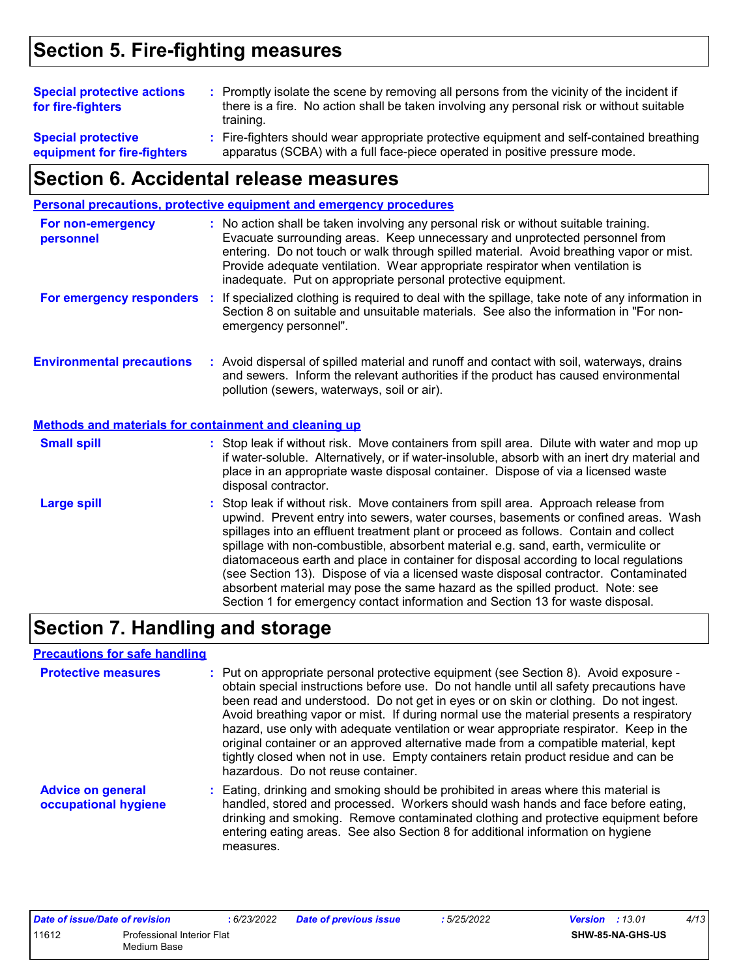### **Section 5. Fire-fighting measures**

| <b>Special protective actions</b><br>for fire-fighters   | : Promptly isolate the scene by removing all persons from the vicinity of the incident if<br>there is a fire. No action shall be taken involving any personal risk or without suitable<br>training. |  |
|----------------------------------------------------------|-----------------------------------------------------------------------------------------------------------------------------------------------------------------------------------------------------|--|
| <b>Special protective</b><br>equipment for fire-fighters | : Fire-fighters should wear appropriate protective equipment and self-contained breathing<br>apparatus (SCBA) with a full face-piece operated in positive pressure mode.                            |  |

### **Section 6. Accidental release measures**

|                                                              | <b>Personal precautions, protective equipment and emergency procedures</b>                                                                                                                                                                                                                                                                                                                                                                                                                                                                                                                                                                                                                                   |
|--------------------------------------------------------------|--------------------------------------------------------------------------------------------------------------------------------------------------------------------------------------------------------------------------------------------------------------------------------------------------------------------------------------------------------------------------------------------------------------------------------------------------------------------------------------------------------------------------------------------------------------------------------------------------------------------------------------------------------------------------------------------------------------|
| For non-emergency<br>personnel                               | : No action shall be taken involving any personal risk or without suitable training.<br>Evacuate surrounding areas. Keep unnecessary and unprotected personnel from<br>entering. Do not touch or walk through spilled material. Avoid breathing vapor or mist.<br>Provide adequate ventilation. Wear appropriate respirator when ventilation is<br>inadequate. Put on appropriate personal protective equipment.                                                                                                                                                                                                                                                                                             |
| For emergency responders                                     | If specialized clothing is required to deal with the spillage, take note of any information in<br>÷.<br>Section 8 on suitable and unsuitable materials. See also the information in "For non-<br>emergency personnel".                                                                                                                                                                                                                                                                                                                                                                                                                                                                                       |
| <b>Environmental precautions</b>                             | : Avoid dispersal of spilled material and runoff and contact with soil, waterways, drains<br>and sewers. Inform the relevant authorities if the product has caused environmental<br>pollution (sewers, waterways, soil or air).                                                                                                                                                                                                                                                                                                                                                                                                                                                                              |
| <b>Methods and materials for containment and cleaning up</b> |                                                                                                                                                                                                                                                                                                                                                                                                                                                                                                                                                                                                                                                                                                              |
| <b>Small spill</b>                                           | : Stop leak if without risk. Move containers from spill area. Dilute with water and mop up<br>if water-soluble. Alternatively, or if water-insoluble, absorb with an inert dry material and<br>place in an appropriate waste disposal container. Dispose of via a licensed waste<br>disposal contractor.                                                                                                                                                                                                                                                                                                                                                                                                     |
| <b>Large spill</b>                                           | : Stop leak if without risk. Move containers from spill area. Approach release from<br>upwind. Prevent entry into sewers, water courses, basements or confined areas. Wash<br>spillages into an effluent treatment plant or proceed as follows. Contain and collect<br>spillage with non-combustible, absorbent material e.g. sand, earth, vermiculite or<br>diatomaceous earth and place in container for disposal according to local regulations<br>(see Section 13). Dispose of via a licensed waste disposal contractor. Contaminated<br>absorbent material may pose the same hazard as the spilled product. Note: see<br>Section 1 for emergency contact information and Section 13 for waste disposal. |

## **Section 7. Handling and storage**

measures.

#### **Precautions for safe handling**

| <b>Protective measures</b>                       | : Put on appropriate personal protective equipment (see Section 8). Avoid exposure -<br>obtain special instructions before use. Do not handle until all safety precautions have<br>been read and understood. Do not get in eyes or on skin or clothing. Do not ingest.<br>Avoid breathing vapor or mist. If during normal use the material presents a respiratory<br>hazard, use only with adequate ventilation or wear appropriate respirator. Keep in the<br>original container or an approved alternative made from a compatible material, kept<br>tightly closed when not in use. Empty containers retain product residue and can be<br>hazardous. Do not reuse container. |
|--------------------------------------------------|--------------------------------------------------------------------------------------------------------------------------------------------------------------------------------------------------------------------------------------------------------------------------------------------------------------------------------------------------------------------------------------------------------------------------------------------------------------------------------------------------------------------------------------------------------------------------------------------------------------------------------------------------------------------------------|
| <b>Advice on general</b><br>occupational hygiene | : Eating, drinking and smoking should be prohibited in areas where this material is<br>handled, stored and processed. Workers should wash hands and face before eating,<br>drinking and smoking. Remove contaminated clothing and protective equipment before<br>entering eating areas. See also Section 8 for additional information on hygiene                                                                                                                                                                                                                                                                                                                               |

| Date of issue/Date of revision |                                           | 6/23/2022 | <b>Date of previous issue</b> | : 5/25/2022 | <b>Version</b> : 13.01 |                  | 4/13 |
|--------------------------------|-------------------------------------------|-----------|-------------------------------|-------------|------------------------|------------------|------|
| 11612                          | Professional Interior Flat<br>Medium Base |           |                               |             |                        | SHW-85-NA-GHS-US |      |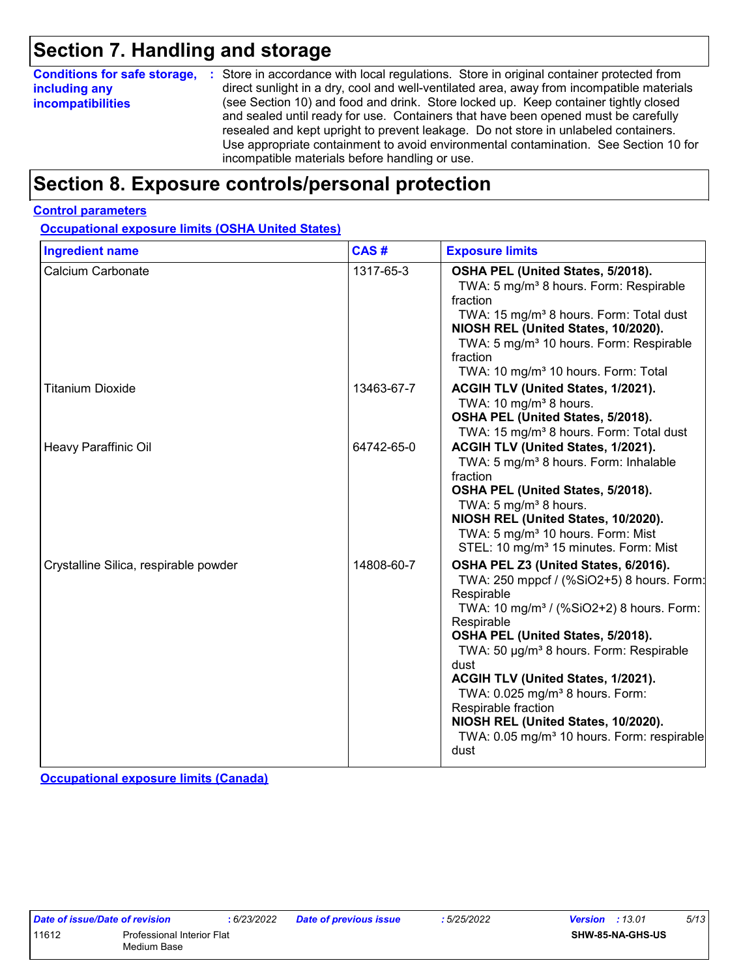### **Section 7. Handling and storage**

|                          | <b>Conditions for safe storage, :</b> Store in accordance with local regulations. Store in original container protected from                                                                                                                                                                                                                                                                               |
|--------------------------|------------------------------------------------------------------------------------------------------------------------------------------------------------------------------------------------------------------------------------------------------------------------------------------------------------------------------------------------------------------------------------------------------------|
| including any            | direct sunlight in a dry, cool and well-ventilated area, away from incompatible materials                                                                                                                                                                                                                                                                                                                  |
| <i>incompatibilities</i> | (see Section 10) and food and drink. Store locked up. Keep container tightly closed<br>and sealed until ready for use. Containers that have been opened must be carefully<br>resealed and kept upright to prevent leakage. Do not store in unlabeled containers.<br>Use appropriate containment to avoid environmental contamination. See Section 10 for<br>incompatible materials before handling or use. |

### **Section 8. Exposure controls/personal protection**

#### **Control parameters**

**Occupational exposure limits (OSHA United States)**

| <b>Ingredient name</b>                | CAS#       | <b>Exposure limits</b>                                                                                                                                                                                                                                                                                                                                                                                                                                                                         |
|---------------------------------------|------------|------------------------------------------------------------------------------------------------------------------------------------------------------------------------------------------------------------------------------------------------------------------------------------------------------------------------------------------------------------------------------------------------------------------------------------------------------------------------------------------------|
| Calcium Carbonate                     | 1317-65-3  | OSHA PEL (United States, 5/2018).<br>TWA: 5 mg/m <sup>3</sup> 8 hours. Form: Respirable<br>fraction<br>TWA: 15 mg/m <sup>3</sup> 8 hours. Form: Total dust<br>NIOSH REL (United States, 10/2020).<br>TWA: 5 mg/m <sup>3</sup> 10 hours. Form: Respirable<br>fraction<br>TWA: 10 mg/m <sup>3</sup> 10 hours. Form: Total                                                                                                                                                                        |
| <b>Titanium Dioxide</b>               | 13463-67-7 | ACGIH TLV (United States, 1/2021).<br>TWA: 10 mg/m <sup>3</sup> 8 hours.<br>OSHA PEL (United States, 5/2018).<br>TWA: 15 mg/m <sup>3</sup> 8 hours. Form: Total dust                                                                                                                                                                                                                                                                                                                           |
| Heavy Paraffinic Oil                  | 64742-65-0 | ACGIH TLV (United States, 1/2021).<br>TWA: 5 mg/m <sup>3</sup> 8 hours. Form: Inhalable<br>fraction<br>OSHA PEL (United States, 5/2018).<br>TWA: $5 \text{ mg/m}^3$ 8 hours.<br>NIOSH REL (United States, 10/2020).<br>TWA: 5 mg/m <sup>3</sup> 10 hours. Form: Mist<br>STEL: 10 mg/m <sup>3</sup> 15 minutes. Form: Mist                                                                                                                                                                      |
| Crystalline Silica, respirable powder | 14808-60-7 | OSHA PEL Z3 (United States, 6/2016).<br>TWA: 250 mppcf / (%SiO2+5) 8 hours. Form:<br>Respirable<br>TWA: 10 mg/m <sup>3</sup> / (%SiO2+2) 8 hours. Form:<br>Respirable<br>OSHA PEL (United States, 5/2018).<br>TWA: 50 µg/m <sup>3</sup> 8 hours. Form: Respirable<br>dust<br>ACGIH TLV (United States, 1/2021).<br>TWA: 0.025 mg/m <sup>3</sup> 8 hours. Form:<br>Respirable fraction<br>NIOSH REL (United States, 10/2020).<br>TWA: 0.05 mg/m <sup>3</sup> 10 hours. Form: respirable<br>dust |

**Occupational exposure limits (Canada)**

| Date of issue/Date of revision |                                                  |  |  |  |
|--------------------------------|--------------------------------------------------|--|--|--|
| 11612                          | <b>Professional Interior Flat</b><br>Medium Base |  |  |  |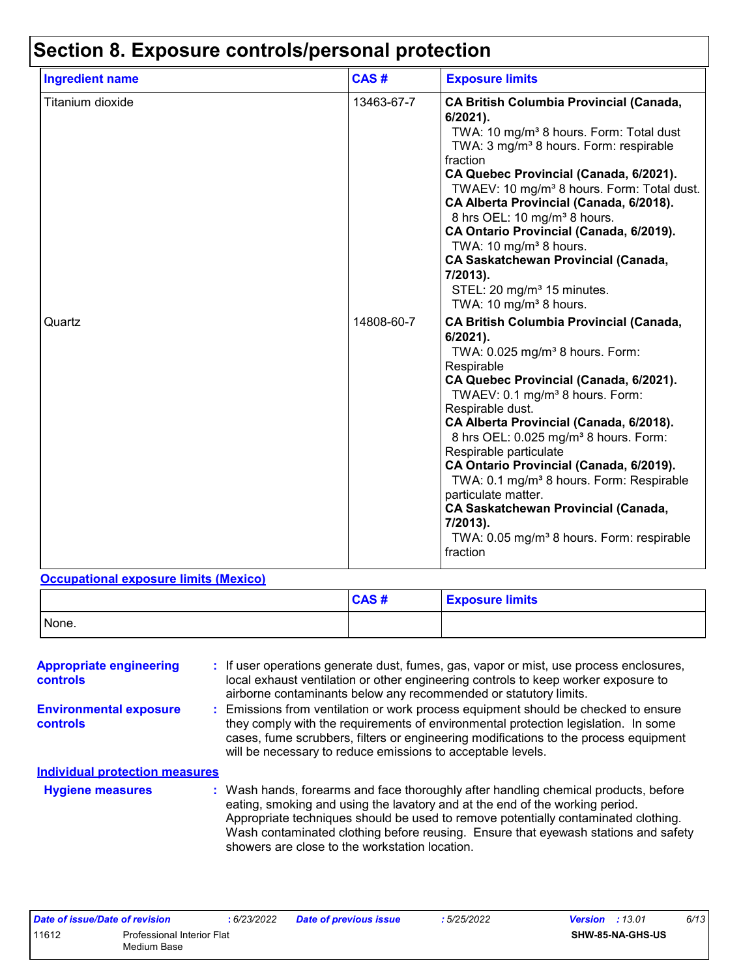| <b>Ingredient name</b> | CAS#       | <b>Exposure limits</b>                                                                                                                                                                                                                                                                                                                                                                                                                                                                                                                                                                                                     |  |  |
|------------------------|------------|----------------------------------------------------------------------------------------------------------------------------------------------------------------------------------------------------------------------------------------------------------------------------------------------------------------------------------------------------------------------------------------------------------------------------------------------------------------------------------------------------------------------------------------------------------------------------------------------------------------------------|--|--|
| Titanium dioxide       | 13463-67-7 | <b>CA British Columbia Provincial (Canada,</b><br>6/2021).<br>TWA: 10 mg/m <sup>3</sup> 8 hours. Form: Total dust<br>TWA: 3 mg/m <sup>3</sup> 8 hours. Form: respirable<br>fraction<br>CA Quebec Provincial (Canada, 6/2021).<br>TWAEV: 10 mg/m <sup>3</sup> 8 hours. Form: Total dust.<br>CA Alberta Provincial (Canada, 6/2018).<br>8 hrs OEL: 10 mg/m <sup>3</sup> 8 hours.<br>CA Ontario Provincial (Canada, 6/2019).<br>TWA: 10 mg/m <sup>3</sup> 8 hours.<br>CA Saskatchewan Provincial (Canada,<br>7/2013).<br>STEL: 20 mg/m <sup>3</sup> 15 minutes.<br>TWA: 10 mg/m <sup>3</sup> 8 hours.                         |  |  |
| Quartz                 | 14808-60-7 | <b>CA British Columbia Provincial (Canada,</b><br>$6/2021$ ).<br>TWA: 0.025 mg/m <sup>3</sup> 8 hours. Form:<br>Respirable<br>CA Quebec Provincial (Canada, 6/2021).<br>TWAEV: 0.1 mg/m <sup>3</sup> 8 hours. Form:<br>Respirable dust.<br>CA Alberta Provincial (Canada, 6/2018).<br>8 hrs OEL: 0.025 mg/m <sup>3</sup> 8 hours. Form:<br>Respirable particulate<br>CA Ontario Provincial (Canada, 6/2019).<br>TWA: 0.1 mg/m <sup>3</sup> 8 hours. Form: Respirable<br>particulate matter.<br><b>CA Saskatchewan Provincial (Canada,</b><br>7/2013).<br>TWA: 0.05 mg/m <sup>3</sup> 8 hours. Form: respirable<br>fraction |  |  |

#### **Occupational exposure limits (Mexico)**

|       | CAS# | <b>Exposure limits</b> |
|-------|------|------------------------|
| None. |      |                        |

| <b>Appropriate engineering</b><br>controls | : If user operations generate dust, fumes, gas, vapor or mist, use process enclosures,<br>local exhaust ventilation or other engineering controls to keep worker exposure to<br>airborne contaminants below any recommended or statutory limits.                                                                                                                                                  |
|--------------------------------------------|---------------------------------------------------------------------------------------------------------------------------------------------------------------------------------------------------------------------------------------------------------------------------------------------------------------------------------------------------------------------------------------------------|
| <b>Environmental exposure</b><br>controls  | : Emissions from ventilation or work process equipment should be checked to ensure<br>they comply with the requirements of environmental protection legislation. In some<br>cases, fume scrubbers, filters or engineering modifications to the process equipment<br>will be necessary to reduce emissions to acceptable levels.                                                                   |
| <b>Individual protection measures</b>      |                                                                                                                                                                                                                                                                                                                                                                                                   |
| <b>Hygiene measures</b>                    | : Wash hands, forearms and face thoroughly after handling chemical products, before<br>eating, smoking and using the lavatory and at the end of the working period.<br>Appropriate techniques should be used to remove potentially contaminated clothing.<br>Wash contaminated clothing before reusing. Ensure that eyewash stations and safety<br>showers are close to the workstation location. |

| Date of issue/Date of revision |                                                  | : 6/23/2022 | <b>Date of previous issue</b> | : 5/25/2022 | <b>Version</b> : 13.01 |                         | 6/13 |
|--------------------------------|--------------------------------------------------|-------------|-------------------------------|-------------|------------------------|-------------------------|------|
| 11612                          | <b>Professional Interior Flat</b><br>Medium Base |             |                               |             |                        | <b>SHW-85-NA-GHS-US</b> |      |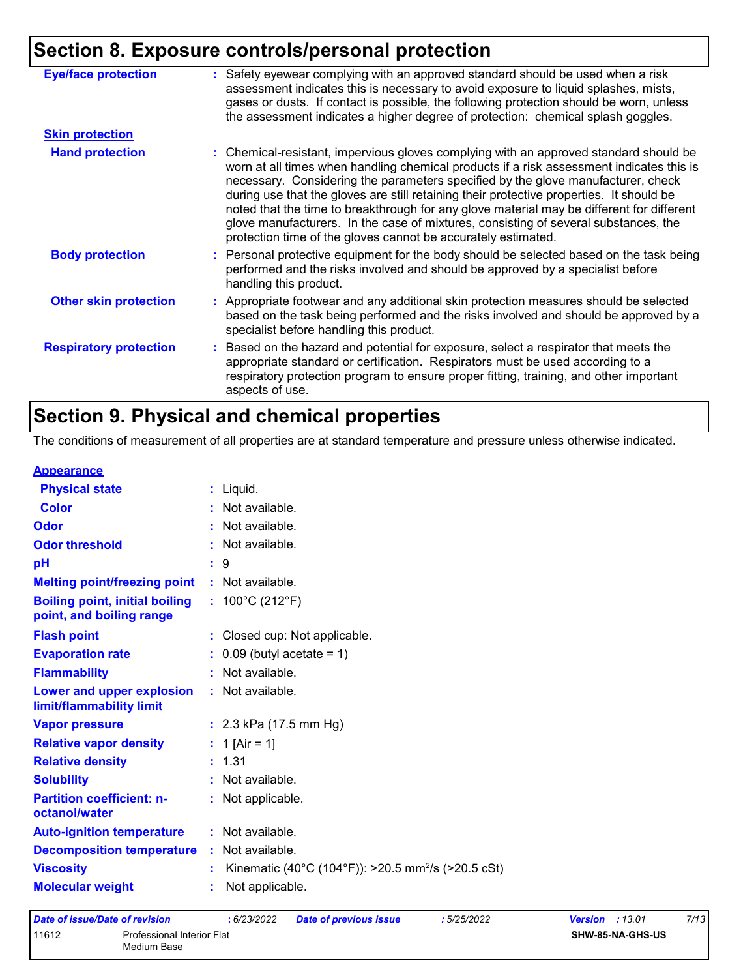## **Section 8. Exposure controls/personal protection**

| <b>Eye/face protection</b><br><b>Skin protection</b><br><b>Hand protection</b><br>protection time of the gloves cannot be accurately estimated.<br><b>Body protection</b><br>handling this product.<br><b>Other skin protection</b><br>specialist before handling this product.<br><b>Respiratory protection</b> |                                                                                                                                                                                                                                                                                                                                                                                                                                                                                                                                                       |
|------------------------------------------------------------------------------------------------------------------------------------------------------------------------------------------------------------------------------------------------------------------------------------------------------------------|-------------------------------------------------------------------------------------------------------------------------------------------------------------------------------------------------------------------------------------------------------------------------------------------------------------------------------------------------------------------------------------------------------------------------------------------------------------------------------------------------------------------------------------------------------|
|                                                                                                                                                                                                                                                                                                                  | : Safety eyewear complying with an approved standard should be used when a risk<br>assessment indicates this is necessary to avoid exposure to liquid splashes, mists,<br>gases or dusts. If contact is possible, the following protection should be worn, unless<br>the assessment indicates a higher degree of protection: chemical splash goggles.                                                                                                                                                                                                 |
|                                                                                                                                                                                                                                                                                                                  |                                                                                                                                                                                                                                                                                                                                                                                                                                                                                                                                                       |
|                                                                                                                                                                                                                                                                                                                  | : Chemical-resistant, impervious gloves complying with an approved standard should be<br>worn at all times when handling chemical products if a risk assessment indicates this is<br>necessary. Considering the parameters specified by the glove manufacturer, check<br>during use that the gloves are still retaining their protective properties. It should be<br>noted that the time to breakthrough for any glove material may be different for different<br>glove manufacturers. In the case of mixtures, consisting of several substances, the |
|                                                                                                                                                                                                                                                                                                                  | : Personal protective equipment for the body should be selected based on the task being<br>performed and the risks involved and should be approved by a specialist before                                                                                                                                                                                                                                                                                                                                                                             |
|                                                                                                                                                                                                                                                                                                                  | : Appropriate footwear and any additional skin protection measures should be selected<br>based on the task being performed and the risks involved and should be approved by a                                                                                                                                                                                                                                                                                                                                                                         |
|                                                                                                                                                                                                                                                                                                                  | : Based on the hazard and potential for exposure, select a respirator that meets the<br>appropriate standard or certification. Respirators must be used according to a<br>respiratory protection program to ensure proper fitting, training, and other important<br>aspects of use.                                                                                                                                                                                                                                                                   |

### **Section 9. Physical and chemical properties**

The conditions of measurement of all properties are at standard temperature and pressure unless otherwise indicated.

#### **Appearance**

| <b>Physical state</b>                                             | $:$ Liquid.                                                    |
|-------------------------------------------------------------------|----------------------------------------------------------------|
| <b>Color</b>                                                      | : Not available.                                               |
| Odor                                                              | Not available.                                                 |
| <b>Odor threshold</b>                                             | : Not available.                                               |
| pH                                                                | -9                                                             |
| <b>Melting point/freezing point</b>                               | : Not available.                                               |
| <b>Boiling point, initial boiling</b><br>point, and boiling range | : $100^{\circ}$ C (212 $^{\circ}$ F)                           |
| <b>Flash point</b>                                                | : Closed cup: Not applicable.                                  |
| <b>Evaporation rate</b>                                           | $\therefore$ 0.09 (butyl acetate = 1)                          |
| <b>Flammability</b>                                               | : Not available.                                               |
| Lower and upper explosion<br>limit/flammability limit             | : Not available.                                               |
| <b>Vapor pressure</b>                                             | : $2.3$ kPa (17.5 mm Hg)                                       |
| <b>Relative vapor density</b>                                     | : 1 [Air = 1]                                                  |
| <b>Relative density</b>                                           | : 1.31                                                         |
| <b>Solubility</b>                                                 | : Not available.                                               |
| <b>Partition coefficient: n-</b><br>octanol/water                 | : Not applicable.                                              |
| <b>Auto-ignition temperature</b>                                  | : Not available.                                               |
| <b>Decomposition temperature</b>                                  | : Not available.                                               |
| <b>Viscosity</b>                                                  | Kinematic (40°C (104°F)): >20.5 mm <sup>2</sup> /s (>20.5 cSt) |
| <b>Molecular weight</b>                                           | Not applicable.                                                |
|                                                                   |                                                                |

| Date of issue/Date of revision |                                           | : 6/23/2022 | <b>Date of previous issue</b> | : 5/25/2022 | <b>Version</b> : 13.01 |                  | 7/13 |
|--------------------------------|-------------------------------------------|-------------|-------------------------------|-------------|------------------------|------------------|------|
| 11612                          | Professional Interior Flat<br>Medium Base |             |                               |             |                        | SHW-85-NA-GHS-US |      |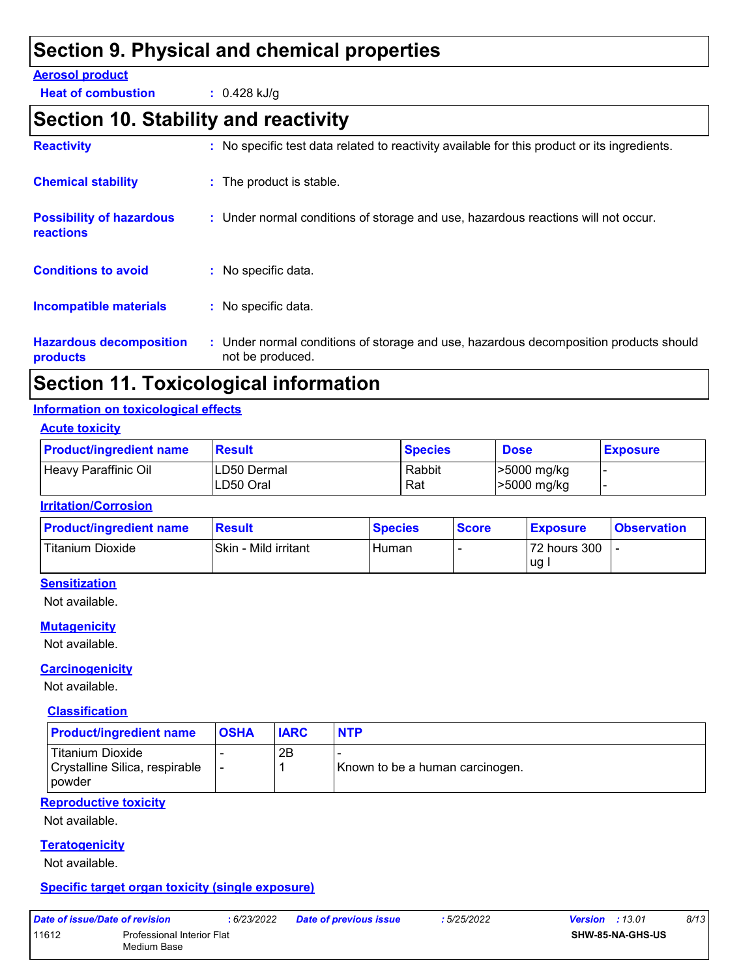### **Section 9. Physical and chemical properties**

#### **Aerosol product**

**Heat of combustion :** 0.428 kJ/g

### **Section 10. Stability and reactivity**

| <b>Reactivity</b>                                   | : No specific test data related to reactivity available for this product or its ingredients.              |
|-----------------------------------------------------|-----------------------------------------------------------------------------------------------------------|
| <b>Chemical stability</b>                           | : The product is stable.                                                                                  |
| <b>Possibility of hazardous</b><br><b>reactions</b> | : Under normal conditions of storage and use, hazardous reactions will not occur.                         |
| <b>Conditions to avoid</b>                          | : No specific data.                                                                                       |
| <b>Incompatible materials</b>                       | : No specific data.                                                                                       |
| <b>Hazardous decomposition</b><br>products          | : Under normal conditions of storage and use, hazardous decomposition products should<br>not be produced. |

### **Section 11. Toxicological information**

#### **Information on toxicological effects**

#### **Acute toxicity**

| <b>Product/ingredient name</b> | <b>Result</b>            | <b>Species</b> | <b>Dose</b>                | <b>Exposure</b> |
|--------------------------------|--------------------------|----------------|----------------------------|-----------------|
| Heavy Paraffinic Oil           | LD50 Dermal<br>LD50 Oral | Rabbit<br>Rat  | >5000 mg/kg<br>>5000 mg/kg |                 |

#### **Irritation/Corrosion**

| <b>Product/ingredient name</b> | <b>Result</b>        | <b>Species</b> | <b>Score</b> | <b>Exposure</b> | <b>Observation</b> |
|--------------------------------|----------------------|----------------|--------------|-----------------|--------------------|
| <b>Titanium Dioxide</b>        | Skin - Mild irritant | Human          |              | 72 hours 300    |                    |
|                                |                      |                |              | lug.            |                    |

#### **Sensitization**

Not available.

#### **Mutagenicity**

Not available.

#### **Carcinogenicity**

Not available.

#### **Classification**

| <b>Product/ingredient name</b>                                 | <b>OSHA</b> | <b>IARC</b> | <b>NTP</b>                      |
|----------------------------------------------------------------|-------------|-------------|---------------------------------|
| Titanium Dioxide<br>Crystalline Silica, respirable<br>l powder |             | 2Β          | Known to be a human carcinogen. |

#### **Reproductive toxicity**

Not available.

#### **Teratogenicity**

Not available.

#### **Specific target organ toxicity (single exposure)**

| Date of issue/Date of revision |                            | : 6/23/2022 | <b>Date of previous issue</b> | : 5/25/2022 | <b>Version</b> : 13.01 | 8/13 |
|--------------------------------|----------------------------|-------------|-------------------------------|-------------|------------------------|------|
| 11612                          | Professional Interior Flat |             |                               |             | SHW-85-NA-GHS-US       |      |
|                                | Medium Base                |             |                               |             |                        |      |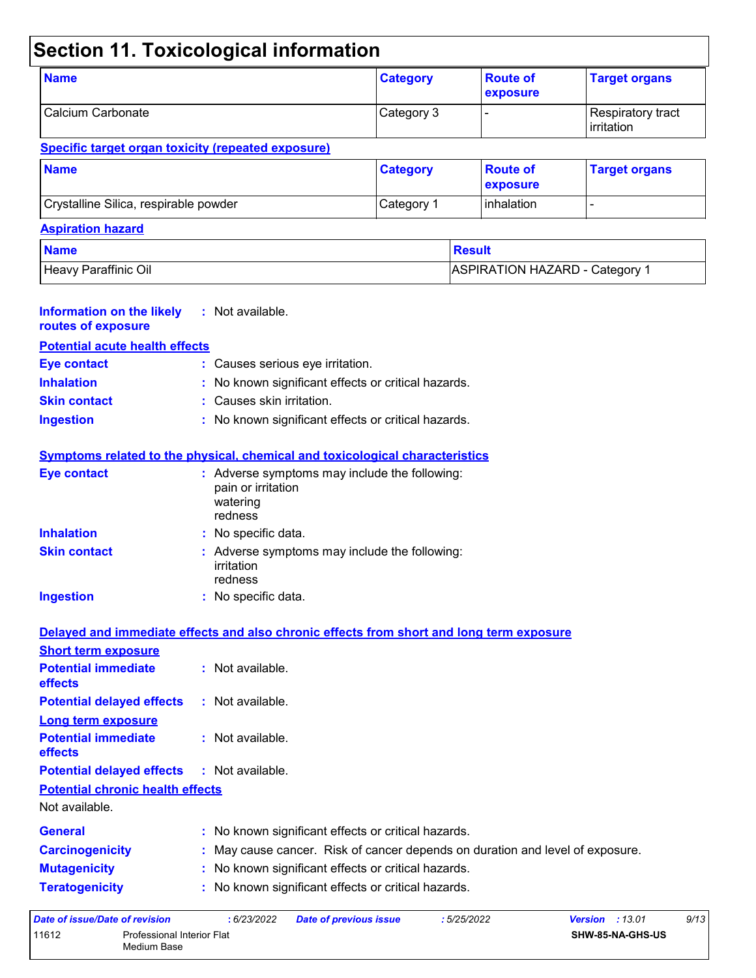## **Section 11. Toxicological information**

| <b>Name</b>       | <b>Category</b> | <b>Route of</b><br><b>exposure</b> | <b>Target organs</b>              |
|-------------------|-----------------|------------------------------------|-----------------------------------|
| Calcium Carbonate | Category 3      |                                    | Respiratory tract<br>l irritation |

#### **Specific target organ toxicity (repeated exposure)**

Medium Base

| <b>Name</b>                           | <b>Category</b> | ∣Route of<br><b>Lexposure</b> | <b>Target organs</b> |
|---------------------------------------|-----------------|-------------------------------|----------------------|
| Crystalline Silica, respirable powder | Category 1      | <b>linhalation</b>            |                      |

#### **Aspiration hazard**

| <b>Name</b>          | <b>Result</b>                             |
|----------------------|-------------------------------------------|
| Heavy Paraffinic Oil | ASPIRATION HAZARD - Category <sup>1</sup> |

| <b>Information on the likely</b><br>routes of exposure                       | : Not available.                                                                                                  |
|------------------------------------------------------------------------------|-------------------------------------------------------------------------------------------------------------------|
| <b>Potential acute health effects</b>                                        |                                                                                                                   |
| Eye contact                                                                  | : Causes serious eye irritation.                                                                                  |
| <b>Inhalation</b>                                                            | : No known significant effects or critical hazards.                                                               |
| <b>Skin contact</b>                                                          | : Causes skin irritation.                                                                                         |
| <b>Ingestion</b>                                                             | : No known significant effects or critical hazards.                                                               |
|                                                                              | Symptoms related to the physical, chemical and toxicological characteristics                                      |
| <b>Eye contact</b>                                                           | : Adverse symptoms may include the following:<br>pain or irritation<br>watering<br>redness                        |
| <b>Inhalation</b>                                                            | : No specific data.                                                                                               |
| <b>Skin contact</b>                                                          | : Adverse symptoms may include the following:<br>irritation<br>redness                                            |
| <b>Ingestion</b>                                                             | : No specific data.                                                                                               |
|                                                                              | Delayed and immediate effects and also chronic effects from short and long term exposure                          |
| <b>Short term exposure</b>                                                   |                                                                                                                   |
| <b>Potential immediate</b><br>effects                                        | : Not available.                                                                                                  |
| <b>Potential delayed effects</b>                                             | : Not available.                                                                                                  |
| <b>Long term exposure</b>                                                    |                                                                                                                   |
| <b>Potential immediate</b><br>effects                                        | : Not available.                                                                                                  |
| <b>Potential delayed effects</b>                                             | : Not available.                                                                                                  |
| <b>Potential chronic health effects</b><br>Not available.                    |                                                                                                                   |
| General                                                                      | : No known significant effects or critical hazards.                                                               |
| <b>Carcinogenicity</b>                                                       | : May cause cancer. Risk of cancer depends on duration and level of exposure.                                     |
| <b>Mutagenicity</b>                                                          | : No known significant effects or critical hazards.                                                               |
| <b>Teratogenicity</b>                                                        | : No known significant effects or critical hazards.                                                               |
| <b>Date of issue/Date of revision</b><br>11612<br>Professional Interior Flat | : 5/25/2022<br>9/13<br>: 6/23/2022<br><b>Date of previous issue</b><br><b>Version : 13.01</b><br>SHW-85-NA-GHS-US |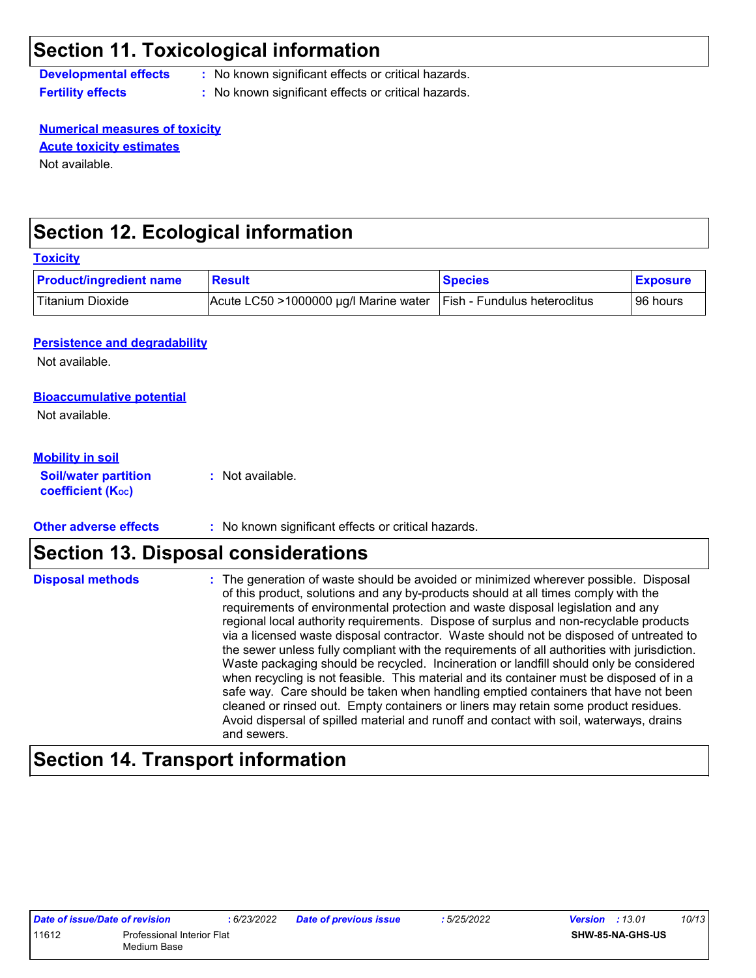### **Section 11. Toxicological information**

**coefficient (Koc)** 

**Developmental effects :** No known significant effects or critical hazards.

**Fertility effects :** No known significant effects or critical hazards.

**Numerical measures of toxicity** Not available. **Acute toxicity estimates**

### **Section 12. Ecological information**

| <b>Product/ingredient name</b>       | <b>Result</b>                         | <b>Species</b>               | <b>Exposure</b> |
|--------------------------------------|---------------------------------------|------------------------------|-----------------|
| <b>Titanium Dioxide</b>              | Acute LC50 >1000000 µg/l Marine water | Fish - Fundulus heteroclitus | 96 hours        |
|                                      |                                       |                              |                 |
| <b>Persistence and degradability</b> |                                       |                              |                 |
| Not available.                       |                                       |                              |                 |
| <b>Bioaccumulative potential</b>     |                                       |                              |                 |
| Not available.                       |                                       |                              |                 |
|                                      |                                       |                              |                 |
|                                      |                                       |                              |                 |
| <b>Mobility in soil</b>              |                                       |                              |                 |

**Other adverse effects** : No known significant effects or critical hazards.

### **Section 13. Disposal considerations**

| <b>Disposal methods</b> | : The generation of waste should be avoided or minimized wherever possible. Disposal<br>of this product, solutions and any by-products should at all times comply with the<br>requirements of environmental protection and waste disposal legislation and any<br>regional local authority requirements. Dispose of surplus and non-recyclable products<br>via a licensed waste disposal contractor. Waste should not be disposed of untreated to<br>the sewer unless fully compliant with the requirements of all authorities with jurisdiction.<br>Waste packaging should be recycled. Incineration or landfill should only be considered<br>when recycling is not feasible. This material and its container must be disposed of in a<br>safe way. Care should be taken when handling emptied containers that have not been<br>cleaned or rinsed out. Empty containers or liners may retain some product residues.<br>Avoid dispersal of spilled material and runoff and contact with soil, waterways, drains |
|-------------------------|----------------------------------------------------------------------------------------------------------------------------------------------------------------------------------------------------------------------------------------------------------------------------------------------------------------------------------------------------------------------------------------------------------------------------------------------------------------------------------------------------------------------------------------------------------------------------------------------------------------------------------------------------------------------------------------------------------------------------------------------------------------------------------------------------------------------------------------------------------------------------------------------------------------------------------------------------------------------------------------------------------------|
|                         | and sewers.                                                                                                                                                                                                                                                                                                                                                                                                                                                                                                                                                                                                                                                                                                                                                                                                                                                                                                                                                                                                    |

### **Section 14. Transport information**

| Date of issue/Date of revision |                                           | : 6/23/2022 | <b>Date of previous issue</b> | : 5/25/2022 | <b>Version</b> : 13.01 |                         | 10/13 |
|--------------------------------|-------------------------------------------|-------------|-------------------------------|-------------|------------------------|-------------------------|-------|
| 11612                          | Professional Interior Flat<br>Medium Base |             |                               |             |                        | <b>SHW-85-NA-GHS-US</b> |       |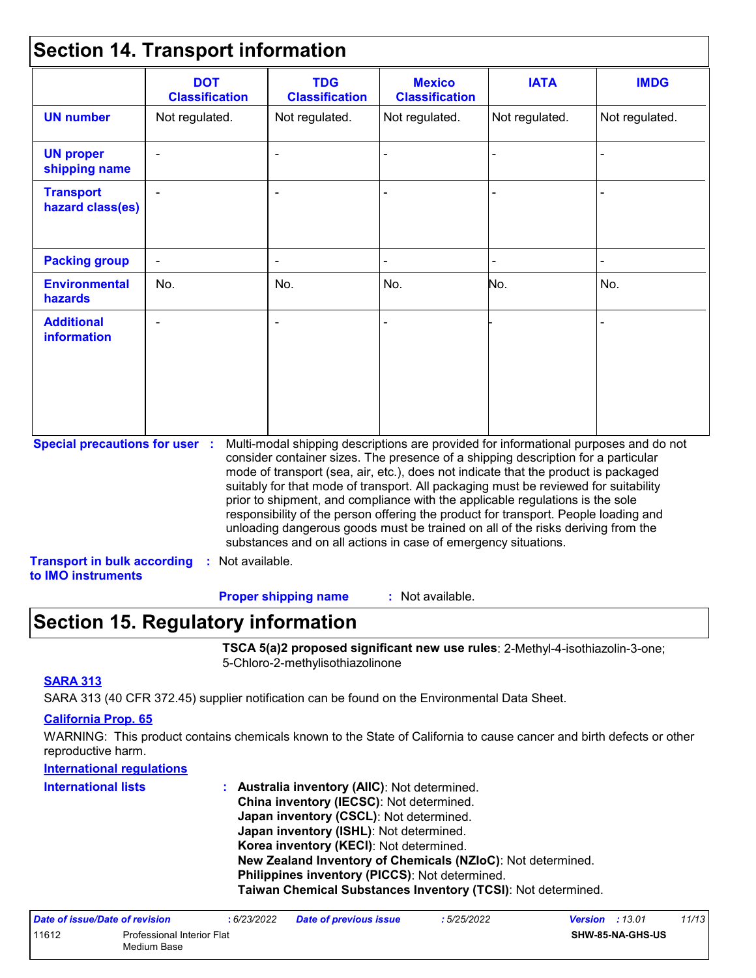### **Section 14. Transport information**

|                                         | <b>DOT</b><br><b>Classification</b> | <b>TDG</b><br><b>Classification</b>                                                                                                                                                                                                                                                                                                                                                                                                                                                                                                                                                                                                                                                 | <b>Mexico</b><br><b>Classification</b> | <b>IATA</b>    | <b>IMDG</b>    |
|-----------------------------------------|-------------------------------------|-------------------------------------------------------------------------------------------------------------------------------------------------------------------------------------------------------------------------------------------------------------------------------------------------------------------------------------------------------------------------------------------------------------------------------------------------------------------------------------------------------------------------------------------------------------------------------------------------------------------------------------------------------------------------------------|----------------------------------------|----------------|----------------|
| <b>UN number</b>                        | Not regulated.                      | Not regulated.                                                                                                                                                                                                                                                                                                                                                                                                                                                                                                                                                                                                                                                                      | Not regulated.                         | Not regulated. | Not regulated. |
| <b>UN proper</b><br>shipping name       |                                     |                                                                                                                                                                                                                                                                                                                                                                                                                                                                                                                                                                                                                                                                                     |                                        |                |                |
| <b>Transport</b><br>hazard class(es)    |                                     |                                                                                                                                                                                                                                                                                                                                                                                                                                                                                                                                                                                                                                                                                     |                                        |                |                |
| <b>Packing group</b>                    |                                     |                                                                                                                                                                                                                                                                                                                                                                                                                                                                                                                                                                                                                                                                                     |                                        |                |                |
| <b>Environmental</b><br><b>hazards</b>  | No.                                 | No.                                                                                                                                                                                                                                                                                                                                                                                                                                                                                                                                                                                                                                                                                 | No.                                    | No.            | No.            |
| <b>Additional</b><br><b>information</b> |                                     |                                                                                                                                                                                                                                                                                                                                                                                                                                                                                                                                                                                                                                                                                     |                                        |                |                |
| <b>Special precautions for user :</b>   |                                     | Multi-modal shipping descriptions are provided for informational purposes and do not<br>consider container sizes. The presence of a shipping description for a particular<br>mode of transport (sea, air, etc.), does not indicate that the product is packaged<br>suitably for that mode of transport. All packaging must be reviewed for suitability<br>prior to shipment, and compliance with the applicable regulations is the sole<br>responsibility of the person offering the product for transport. People loading and<br>unloading dangerous goods must be trained on all of the risks deriving from the<br>substances and on all actions in case of emergency situations. |                                        |                |                |

#### **Proper shipping name :**

: Not available.

### **Section 15. Regulatory information**

**TSCA 5(a)2 proposed significant new use rules**: 2-Methyl-4-isothiazolin-3-one; 5-Chloro-2-methylisothiazolinone

#### **SARA 313**

SARA 313 (40 CFR 372.45) supplier notification can be found on the Environmental Data Sheet.

#### **California Prop. 65**

WARNING: This product contains chemicals known to the State of California to cause cancer and birth defects or other reproductive harm.

#### **International regulations**

| <b>International lists</b> | : Australia inventory (AIIC): Not determined.                |
|----------------------------|--------------------------------------------------------------|
|                            | China inventory (IECSC): Not determined.                     |
|                            | Japan inventory (CSCL): Not determined.                      |
|                            | Japan inventory (ISHL): Not determined.                      |
|                            | Korea inventory (KECI): Not determined.                      |
|                            | New Zealand Inventory of Chemicals (NZIoC): Not determined.  |
|                            | <b>Philippines inventory (PICCS): Not determined.</b>        |
|                            | Taiwan Chemical Substances Inventory (TCSI): Not determined. |

| Date of issue/Date of revision |                                           | : 6/23/2022 | <b>Date of previous issue</b> | : 5/25/2022 | <b>Version</b> : 13.01 |                         | 11/13 |
|--------------------------------|-------------------------------------------|-------------|-------------------------------|-------------|------------------------|-------------------------|-------|
| 11612                          | Professional Interior Flat<br>Medium Base |             |                               |             |                        | <b>SHW-85-NA-GHS-US</b> |       |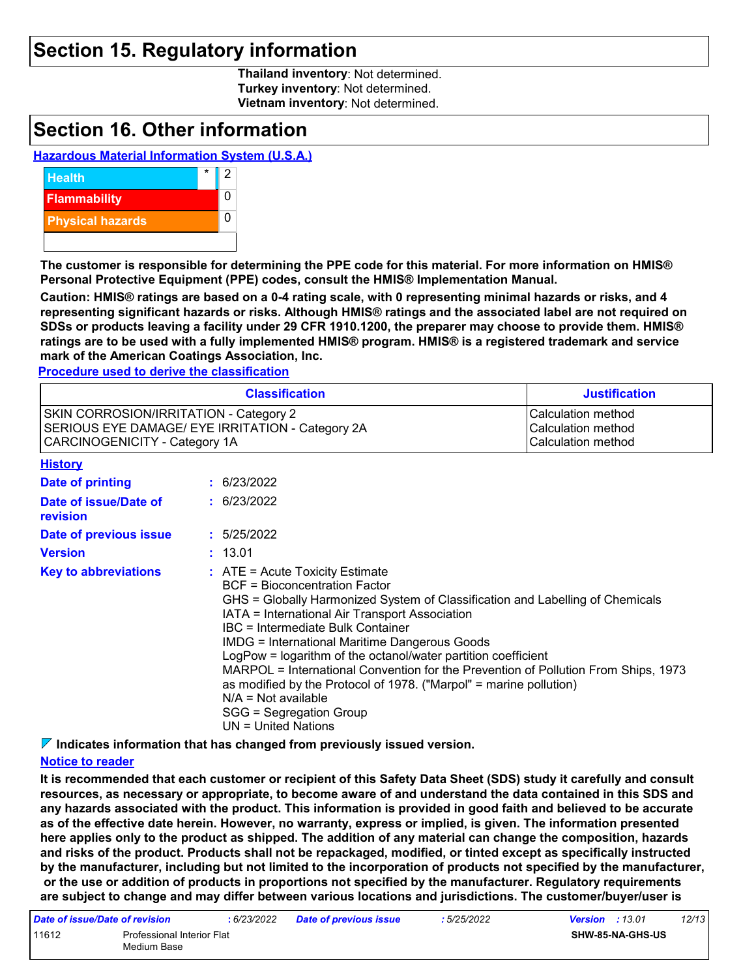### **Section 15. Regulatory information**

**Thailand inventory**: Not determined. **Turkey inventory**: Not determined. **Vietnam inventory**: Not determined.

### **Section 16. Other information**

#### **Hazardous Material Information System (U.S.A.)**



**The customer is responsible for determining the PPE code for this material. For more information on HMIS® Personal Protective Equipment (PPE) codes, consult the HMIS® Implementation Manual.**

**Caution: HMIS® ratings are based on a 0-4 rating scale, with 0 representing minimal hazards or risks, and 4 representing significant hazards or risks. Although HMIS® ratings and the associated label are not required on SDSs or products leaving a facility under 29 CFR 1910.1200, the preparer may choose to provide them. HMIS® ratings are to be used with a fully implemented HMIS® program. HMIS® is a registered trademark and service mark of the American Coatings Association, Inc.**

**Procedure used to derive the classification**

|                                                                                                                             |  | <b>Classification</b>                                                                                                                                                                                                                                                                                                                                                                                                                                                                                                                                                                                                        | <b>Justification</b> |
|-----------------------------------------------------------------------------------------------------------------------------|--|------------------------------------------------------------------------------------------------------------------------------------------------------------------------------------------------------------------------------------------------------------------------------------------------------------------------------------------------------------------------------------------------------------------------------------------------------------------------------------------------------------------------------------------------------------------------------------------------------------------------------|----------------------|
| SKIN CORROSION/IRRITATION - Category 2<br>SERIOUS EYE DAMAGE/ EYE IRRITATION - Category 2A<br>CARCINOGENICITY - Category 1A |  | Calculation method<br>Calculation method<br>Calculation method                                                                                                                                                                                                                                                                                                                                                                                                                                                                                                                                                               |                      |
| <b>History</b>                                                                                                              |  |                                                                                                                                                                                                                                                                                                                                                                                                                                                                                                                                                                                                                              |                      |
| <b>Date of printing</b>                                                                                                     |  | : 6/23/2022                                                                                                                                                                                                                                                                                                                                                                                                                                                                                                                                                                                                                  |                      |
| Date of issue/Date of<br>revision                                                                                           |  | : 6/23/2022                                                                                                                                                                                                                                                                                                                                                                                                                                                                                                                                                                                                                  |                      |
| Date of previous issue                                                                                                      |  | : 5/25/2022                                                                                                                                                                                                                                                                                                                                                                                                                                                                                                                                                                                                                  |                      |
| <b>Version</b>                                                                                                              |  | : 13.01                                                                                                                                                                                                                                                                                                                                                                                                                                                                                                                                                                                                                      |                      |
| <b>Key to abbreviations</b>                                                                                                 |  | $\therefore$ ATE = Acute Toxicity Estimate<br><b>BCF</b> = Bioconcentration Factor<br>GHS = Globally Harmonized System of Classification and Labelling of Chemicals<br>IATA = International Air Transport Association<br>IBC = Intermediate Bulk Container<br><b>IMDG = International Maritime Dangerous Goods</b><br>LogPow = logarithm of the octanol/water partition coefficient<br>MARPOL = International Convention for the Prevention of Pollution From Ships, 1973<br>as modified by the Protocol of 1978. ("Marpol" = marine pollution)<br>$N/A = Not available$<br>SGG = Segregation Group<br>$UN = United Nations$ |                      |

**Indicates information that has changed from previously issued version.**

#### **Notice to reader**

**It is recommended that each customer or recipient of this Safety Data Sheet (SDS) study it carefully and consult resources, as necessary or appropriate, to become aware of and understand the data contained in this SDS and any hazards associated with the product. This information is provided in good faith and believed to be accurate as of the effective date herein. However, no warranty, express or implied, is given. The information presented here applies only to the product as shipped. The addition of any material can change the composition, hazards and risks of the product. Products shall not be repackaged, modified, or tinted except as specifically instructed by the manufacturer, including but not limited to the incorporation of products not specified by the manufacturer, or the use or addition of products in proportions not specified by the manufacturer. Regulatory requirements are subject to change and may differ between various locations and jurisdictions. The customer/buyer/user is** 

| Date of issue/Date of revision |                                                  | : 6/23/2022 | <b>Date of previous issue</b> | : 5/25/2022 | <b>Version</b> : 13.01 |                         | 12/13 |
|--------------------------------|--------------------------------------------------|-------------|-------------------------------|-------------|------------------------|-------------------------|-------|
| 11612                          | <b>Professional Interior Flat</b><br>Medium Base |             |                               |             |                        | <b>SHW-85-NA-GHS-US</b> |       |